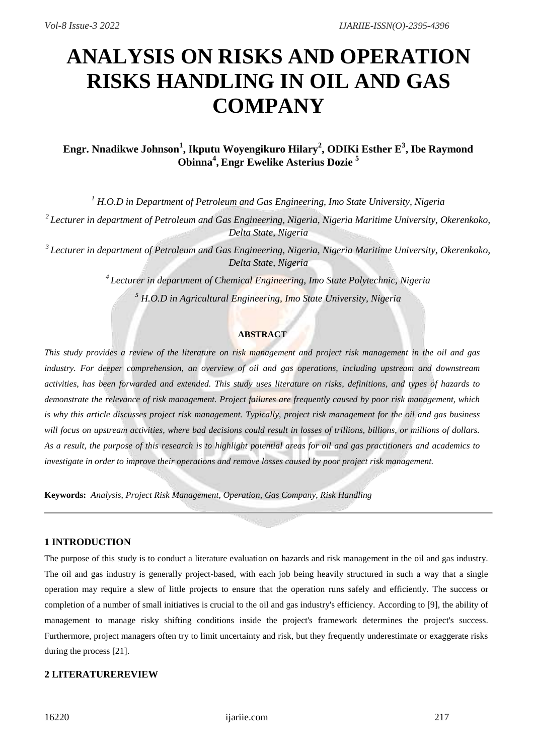# **ANALYSIS ON RISKS AND OPERATION RISKS HANDLING IN OIL AND GAS COMPANY**

## **Engr. Nnadikwe Johnson<sup>1</sup> , Ikputu Woyengikuro Hilary<sup>2</sup> , ODIKi Esther E<sup>3</sup> , Ibe Raymond Obinna<sup>4</sup> , Engr Ewelike Asterius Dozie <sup>5</sup>**

*<sup>1</sup> H.O.D in Department of Petroleum and Gas Engineering, Imo State University, Nigeria*

*<sup>2</sup>Lecturer in department of Petroleum and Gas Engineering, Nigeria, Nigeria Maritime University, Okerenkoko, Delta State, Nigeria*

*<sup>3</sup>Lecturer in department of Petroleum and Gas Engineering, Nigeria, Nigeria Maritime University, Okerenkoko, Delta State, Nigeria*

> *<sup>4</sup>Lecturer in department of Chemical Engineering, Imo State Polytechnic, Nigeria <sup>5</sup> H.O.D in Agricultural Engineering, Imo State University, Nigeria*

### **ABSTRACT**

*This study provides a review of the literature on risk management and project risk management in the oil and gas industry. For deeper comprehension, an overview of oil and gas operations, including upstream and downstream activities, has been forwarded and extended. This study uses literature on risks, definitions, and types of hazards to demonstrate the relevance of risk management. Project failures are frequently caused by poor risk management, which is why this article discusses project risk management. Typically, project risk management for the oil and gas business will focus on upstream activities, where bad decisions could result in losses of trillions, billions, or millions of dollars. As a result, the purpose of this research is to highlight potential areas for oil and gas practitioners and academics to investigate in order to improve their operations and remove losses caused by poor project risk management.*

**Keywords:** *Analysis, Project Risk Management, Operation, Gas Company, Risk Handling*

## **1 INTRODUCTION**

The purpose of this study is to conduct a literature evaluation on hazards and risk management in the oil and gas industry. The oil and gas industry is generally project-based, with each job being heavily structured in such a way that a single operation may require a slew of little projects to ensure that the operation runs safely and efficiently. The success or completion of a number of small initiatives is crucial to the oil and gas industry's efficiency. According to [9], the ability of management to manage risky shifting conditions inside the project's framework determines the project's success. Furthermore, project managers often try to limit uncertainty and risk, but they frequently underestimate or exaggerate risks during the process [21].

## **2 LITERATUREREVIEW**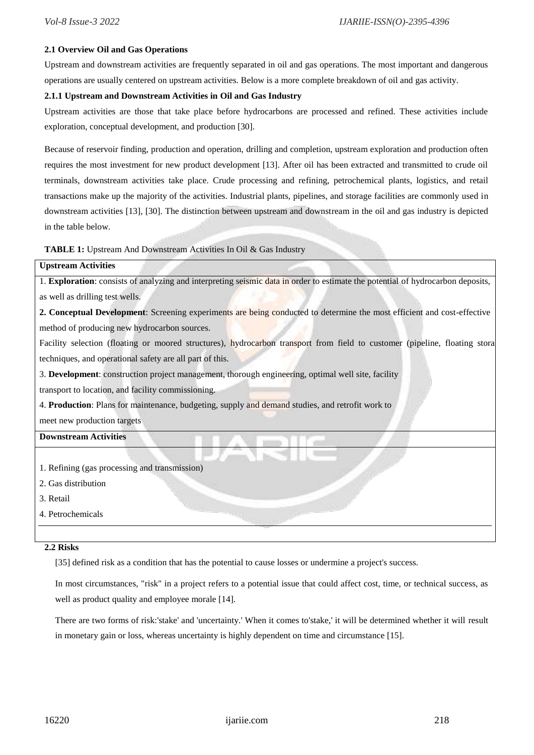#### **2.1 Overview Oil and Gas Operations**

Upstream and downstream activities are frequently separated in oil and gas operations. The most important and dangerous operations are usually centered on upstream activities. Below is a more complete breakdown of oil and gas activity.

#### **2.1.1 Upstream and Downstream Activities in Oil and Gas Industry**

Upstream activities are those that take place before hydrocarbons are processed and refined. These activities include exploration, conceptual development, and production [30].

Because of reservoir finding, production and operation, drilling and completion, upstream exploration and production often requires the most investment for new product development [13]. After oil has been extracted and transmitted to crude oil terminals, downstream activities take place. Crude processing and refining, petrochemical plants, logistics, and retail transactions make up the majority of the activities. Industrial plants, pipelines, and storage facilities are commonly used in downstream activities [13], [30]. The distinction between upstream and downstream in the oil and gas industry is depicted in the table below.

**TABLE 1:** Upstream And Downstream Activities In Oil & Gas Industry

#### **Upstream Activities**

1. **Exploration**: consists of analyzing and interpreting seismic data in order to estimate the potential of hydrocarbon deposits, as well as drilling test wells.

**2. Conceptual Development**: Screening experiments are being conducted to determine the most efficient and cost-effective method of producing new hydrocarbon sources.

Facility selection (floating or moored structures), hydrocarbon transport from field to customer (pipeline, floating stora techniques, and operational safety are all part of this.

3. **Development**: construction project management, thorough engineering, optimal well site, facility

transport to location, and facility commissioning.

4. **Production**: Plans for maintenance, budgeting, supply and demand studies, and retrofit work to

meet new production targets

## **Downstream Activities**

- 1. Refining (gas processing and transmission)
- 2. Gas distribution
- 3. Retail
- 4. Petrochemicals

#### **2.2 Risks**

[35] defined risk as a condition that has the potential to cause losses or undermine a project's success.

In most circumstances, "risk" in a project refers to a potential issue that could affect cost, time, or technical success, as well as product quality and employee morale [14].

There are two forms of risk:'stake' and 'uncertainty.' When it comes to'stake,' it will be determined whether it will result in monetary gain or loss, whereas uncertainty is highly dependent on time and circumstance [15].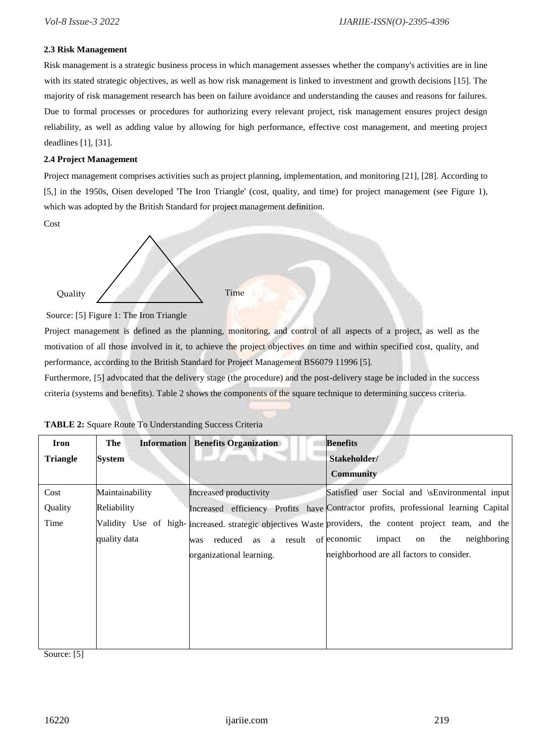#### **2.3 Risk Management**

Risk management is a strategic business process in which management assesses whether the company's activities are in line with its stated strategic objectives, as well as how risk management is linked to investment and growth decisions [15]. The majority of risk management research has been on failure avoidance and understanding the causes and reasons for failures. Due to formal processes or procedures for authorizing every relevant project, risk management ensures project design reliability, as well as adding value by allowing for high performance, effective cost management, and meeting project deadlines [1], [31].

#### **2.4 Project Management**

Project management comprises activities such as project planning, implementation, and monitoring [21], [28]. According to [5,] in the 1950s, Oisen developed 'The Iron Triangle' (cost, quality, and time) for project management (see Figure 1), which was adopted by the British Standard for project management definition.

Cost

Quality / Time

Source: [5] Figure 1: The Iron Triangle

Project management is defined as the planning, monitoring, and control of all aspects of a project, as well as the motivation of all those involved in it, to achieve the project objectives on time and within specified cost, quality, and performance, according to the British Standard for Project Management BS6079 11996 [5].

Furthermore, [5] advocated that the delivery stage (the procedure) and the post-delivery stage be included in the success criteria (systems and benefits). Table 2 shows the components of the square technique to determining success criteria.

| The             | <b>Benefits Organization</b>  | <b>Benefits</b>                                                                                                              |
|-----------------|-------------------------------|------------------------------------------------------------------------------------------------------------------------------|
| System          |                               | Stakeholder/                                                                                                                 |
|                 |                               | <b>Community</b>                                                                                                             |
| Maintainability | Increased productivity        | Satisfied user Social and \sEnvironmental input                                                                              |
| Reliability     |                               | Increased efficiency Profits have Contractor profits, professional learning Capital                                          |
|                 |                               |                                                                                                                              |
| quality data    | result<br>reduced as a<br>was | neighboring<br>impact<br>the<br>of economic<br>on                                                                            |
|                 | organizational learning.      | neighborhood are all factors to consider.                                                                                    |
|                 |                               |                                                                                                                              |
|                 |                               |                                                                                                                              |
|                 |                               |                                                                                                                              |
|                 |                               |                                                                                                                              |
|                 |                               |                                                                                                                              |
|                 |                               | <b>Information</b><br>Validity Use of high-increased strategic objectives Waste providers, the content project team, and the |

| TABLE 2: Square Route To Understanding Success Criteria |  |  |  |  |
|---------------------------------------------------------|--|--|--|--|
|---------------------------------------------------------|--|--|--|--|

Source: [5]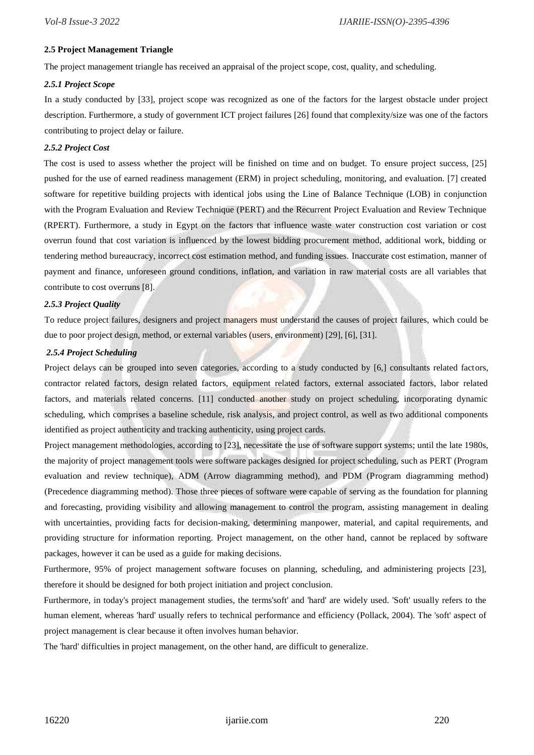#### **2.5 Project Management Triangle**

The project management triangle has received an appraisal of the project scope, cost, quality, and scheduling.

#### *2.5.1 Project Scope*

In a study conducted by [33], project scope was recognized as one of the factors for the largest obstacle under project description. Furthermore, a study of government ICT project failures [26] found that complexity/size was one of the factors contributing to project delay or failure.

#### *2.5.2 Project Cost*

The cost is used to assess whether the project will be finished on time and on budget. To ensure project success, [25] pushed for the use of earned readiness management (ERM) in project scheduling, monitoring, and evaluation. [7] created software for repetitive building projects with identical jobs using the Line of Balance Technique (LOB) in conjunction with the Program Evaluation and Review Technique (PERT) and the Recurrent Project Evaluation and Review Technique (RPERT). Furthermore, a study in Egypt on the factors that influence waste water construction cost variation or cost overrun found that cost variation is influenced by the lowest bidding procurement method, additional work, bidding or tendering method bureaucracy, incorrect cost estimation method, and funding issues. Inaccurate cost estimation, manner of payment and finance, unforeseen ground conditions, inflation, and variation in raw material costs are all variables that contribute to cost overruns [8].

#### *2.5.3 Project Quality*

To reduce project failures, designers and project managers must understand the causes of project failures, which could be due to poor project design, method, or external variables (users, environment) [29], [6], [31].

#### *2.5.4 Project Scheduling*

Project delays can be grouped into seven categories, according to a study conducted by [6,] consultants related factors, contractor related factors, design related factors, equipment related factors, external associated factors, labor related factors, and materials related concerns. [11] conducted another study on project scheduling, incorporating dynamic scheduling, which comprises a baseline schedule, risk analysis, and project control, as well as two additional components identified as project authenticity and tracking authenticity, using project cards.

Project management methodologies, according to [23], necessitate the use of software support systems; until the late 1980s, the majority of project management tools were software packages designed for project scheduling, such as PERT (Program evaluation and review technique), ADM (Arrow diagramming method), and PDM (Program diagramming method) (Precedence diagramming method). Those three pieces of software were capable of serving as the foundation for planning and forecasting, providing visibility and allowing management to control the program, assisting management in dealing with uncertainties, providing facts for decision-making, determining manpower, material, and capital requirements, and providing structure for information reporting. Project management, on the other hand, cannot be replaced by software packages, however it can be used as a guide for making decisions.

Furthermore, 95% of project management software focuses on planning, scheduling, and administering projects [23], therefore it should be designed for both project initiation and project conclusion.

Furthermore, in today's project management studies, the terms'soft' and 'hard' are widely used. 'Soft' usually refers to the human element, whereas 'hard' usually refers to technical performance and efficiency (Pollack, 2004). The 'soft' aspect of project management is clear because it often involves human behavior.

The 'hard' difficulties in project management, on the other hand, are difficult to generalize.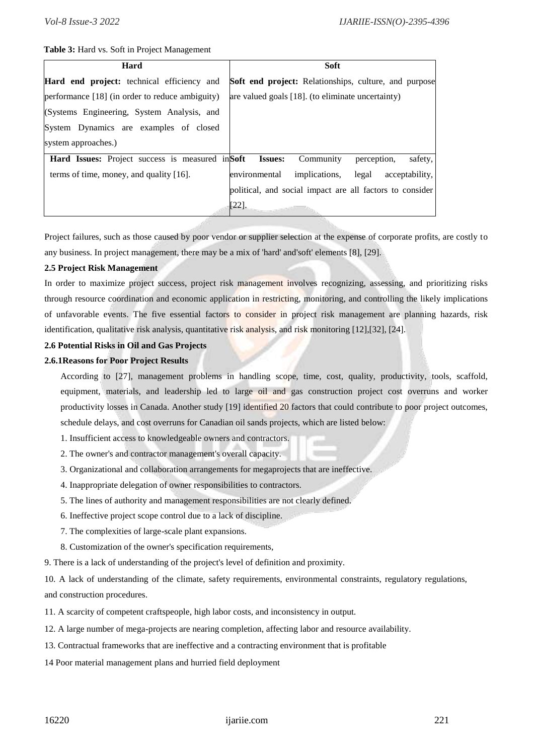#### **Table 3:** Hard vs. Soft in Project Management

| Hard                                                    | <b>Soft</b>                                                  |
|---------------------------------------------------------|--------------------------------------------------------------|
| Hard end project: technical efficiency and              | <b>Soft end project:</b> Relationships, culture, and purpose |
| performance [18] (in order to reduce ambiguity)         | are valued goals [18]. (to eliminate uncertainty)            |
| (Systems Engineering, System Analysis, and              |                                                              |
| System Dynamics are examples of closed                  |                                                              |
| system approaches.)                                     |                                                              |
| <b>Hard Issues:</b> Project success is measured in Soft | <b>Issues:</b><br>safety,<br>Community<br>perception,        |
| terms of time, money, and quality $[16]$ .              | environmental<br>implications,<br>acceptability,<br>legal    |
|                                                         | political, and social impact are all factors to consider     |
|                                                         | $[22].$                                                      |

Project failures, such as those caused by poor vendor or supplier selection at the expense of corporate profits, are costly to any business. In project management, there may be a mix of 'hard' and'soft' elements [8], [29].

#### **2.5 Project Risk Management**

In order to maximize project success, project risk management involves recognizing, assessing, and prioritizing risks through resource coordination and economic application in restricting, monitoring, and controlling the likely implications of unfavorable events. The five essential factors to consider in project risk management are planning hazards, risk identification, qualitative risk analysis, quantitative risk analysis, and risk monitoring [12],[32], [24].

#### **2.6 Potential Risks in Oil and Gas Projects**

#### **2.6.1Reasons for Poor Project Results**

According to [27], management problems in handling scope, time, cost, quality, productivity, tools, scaffold, equipment, materials, and leadership led to large oil and gas construction project cost overruns and worker productivity losses in Canada. Another study [19] identified 20 factors that could contribute to poor project outcomes, schedule delays, and cost overruns for Canadian oil sands projects, which are listed below:

- 1. Insufficient access to knowledgeable owners and contractors.
- 2. The owner's and contractor management's overall capacity.
- 3. Organizational and collaboration arrangements for megaprojects that are ineffective.
- 4. Inappropriate delegation of owner responsibilities to contractors.
- 5. The lines of authority and management responsibilities are not clearly defined.
- 6. Ineffective project scope control due to a lack of discipline.
- 7. The complexities of large-scale plant expansions.
- 8. Customization of the owner's specification requirements,
- 9. There is a lack of understanding of the project's level of definition and proximity.

10. A lack of understanding of the climate, safety requirements, environmental constraints, regulatory regulations, and construction procedures.

- 11. A scarcity of competent craftspeople, high labor costs, and inconsistency in output.
- 12. A large number of mega-projects are nearing completion, affecting labor and resource availability.
- 13. Contractual frameworks that are ineffective and a contracting environment that is profitable
- 14 Poor material management plans and hurried field deployment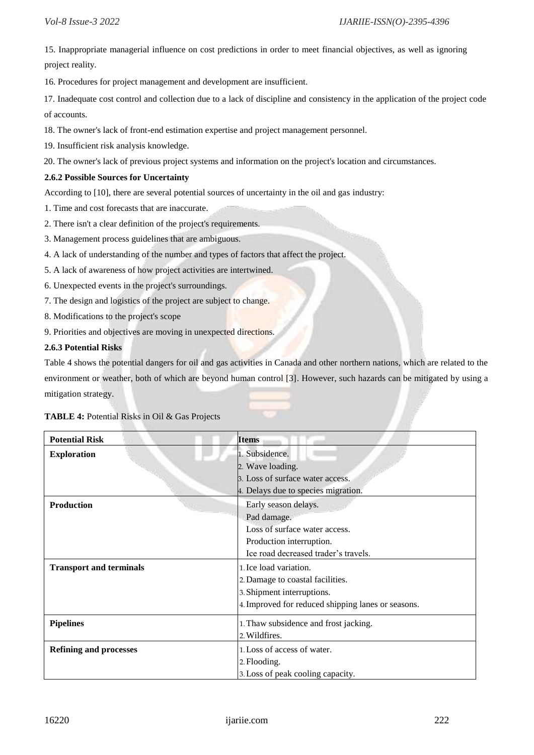15. Inappropriate managerial influence on cost predictions in order to meet financial objectives, as well as ignoring project reality.

16. Procedures for project management and development are insufficient.

17. Inadequate cost control and collection due to a lack of discipline and consistency in the application of the project code of accounts.

18. The owner's lack of front-end estimation expertise and project management personnel.

19. Insufficient risk analysis knowledge.

20. The owner's lack of previous project systems and information on the project's location and circumstances.

#### **2.6.2 Possible Sources for Uncertainty**

According to [10], there are several potential sources of uncertainty in the oil and gas industry:

- 1. Time and cost forecasts that are inaccurate.
- 2. There isn't a clear definition of the project's requirements.
- 3. Management process guidelines that are ambiguous.
- 4. A lack of understanding of the number and types of factors that affect the project.
- 5. A lack of awareness of how project activities are intertwined.
- 6. Unexpected events in the project's surroundings.
- 7. The design and logistics of the project are subject to change.
- 8. Modifications to the project's scope
- 9. Priorities and objectives are moving in unexpected directions.

#### **2.6.3 Potential Risks**

Table 4 shows the potential dangers for oil and gas activities in Canada and other northern nations, which are related to the environment or weather, both of which are beyond human control [3]. However, such hazards can be mitigated by using a mitigation strategy.

**TABLE 4:** Potential Risks in Oil & Gas Projects

| <b>Potential Risk</b>          | Items                                              |
|--------------------------------|----------------------------------------------------|
| <b>Exploration</b>             | 1. Subsidence.                                     |
|                                | 2. Wave loading.                                   |
|                                | 3. Loss of surface water access.                   |
|                                | 4. Delays due to species migration.                |
| <b>Production</b>              | Early season delays.                               |
|                                | Pad damage.                                        |
|                                | Loss of surface water access.                      |
|                                | Production interruption.                           |
|                                | Ice road decreased trader's travels.               |
| <b>Transport and terminals</b> | 1. Ice load variation.                             |
|                                | 2. Damage to coastal facilities.                   |
|                                | 3. Shipment interruptions.                         |
|                                | 4. Improved for reduced shipping lanes or seasons. |
| <b>Pipelines</b>               | 1. Thaw subsidence and frost jacking.              |
|                                | 2. Wildfires.                                      |
| <b>Refining and processes</b>  | 1. Loss of access of water.                        |
|                                | 2. Flooding.                                       |
|                                | 3. Loss of peak cooling capacity.                  |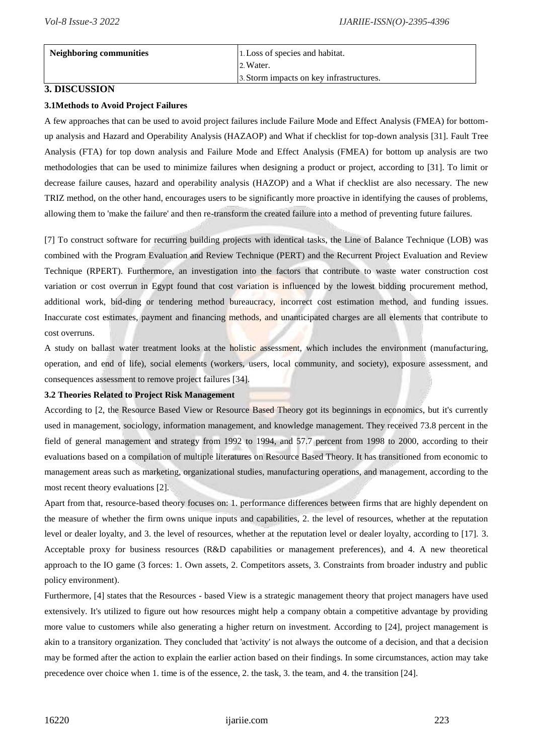| Neighboring communities | 1. Loss of species and habitat.          |
|-------------------------|------------------------------------------|
|                         | 2. Water.                                |
|                         | 3. Storm impacts on key infrastructures. |

#### **3. DISCUSSION**

#### **3.1Methods to Avoid Project Failures**

A few approaches that can be used to avoid project failures include Failure Mode and Effect Analysis (FMEA) for bottomup analysis and Hazard and Operability Analysis (HAZAOP) and What if checklist for top-down analysis [31]. Fault Tree Analysis (FTA) for top down analysis and Failure Mode and Effect Analysis (FMEA) for bottom up analysis are two methodologies that can be used to minimize failures when designing a product or project, according to [31]. To limit or decrease failure causes, hazard and operability analysis (HAZOP) and a What if checklist are also necessary. The new TRIZ method, on the other hand, encourages users to be significantly more proactive in identifying the causes of problems, allowing them to 'make the failure' and then re-transform the created failure into a method of preventing future failures.

[7] To construct software for recurring building projects with identical tasks, the Line of Balance Technique (LOB) was combined with the Program Evaluation and Review Technique (PERT) and the Recurrent Project Evaluation and Review Technique (RPERT). Furthermore, an investigation into the factors that contribute to waste water construction cost variation or cost overrun in Egypt found that cost variation is influenced by the lowest bidding procurement method, additional work, bid-ding or tendering method bureaucracy, incorrect cost estimation method, and funding issues. Inaccurate cost estimates, payment and financing methods, and unanticipated charges are all elements that contribute to cost overruns.

A study on ballast water treatment looks at the holistic assessment, which includes the environment (manufacturing, operation, and end of life), social elements (workers, users, local community, and society), exposure assessment, and consequences assessment to remove project failures [34].

#### **3.2 Theories Related to Project Risk Management**

According to [2, the Resource Based View or Resource Based Theory got its beginnings in economics, but it's currently used in management, sociology, information management, and knowledge management. They received 73.8 percent in the field of general management and strategy from 1992 to 1994, and 57.7 percent from 1998 to 2000, according to their evaluations based on a compilation of multiple literatures on Resource Based Theory. It has transitioned from economic to management areas such as marketing, organizational studies, manufacturing operations, and management, according to the most recent theory evaluations [2].

Apart from that, resource-based theory focuses on: 1. performance differences between firms that are highly dependent on the measure of whether the firm owns unique inputs and capabilities, 2. the level of resources, whether at the reputation level or dealer loyalty, and 3. the level of resources, whether at the reputation level or dealer loyalty, according to [17]. 3. Acceptable proxy for business resources (R&D capabilities or management preferences), and 4. A new theoretical approach to the IO game (3 forces: 1. Own assets, 2. Competitors assets, 3. Constraints from broader industry and public policy environment).

Furthermore, [4] states that the Resources - based View is a strategic management theory that project managers have used extensively. It's utilized to figure out how resources might help a company obtain a competitive advantage by providing more value to customers while also generating a higher return on investment. According to [24], project management is akin to a transitory organization. They concluded that 'activity' is not always the outcome of a decision, and that a decision may be formed after the action to explain the earlier action based on their findings. In some circumstances, action may take precedence over choice when 1. time is of the essence, 2. the task, 3. the team, and 4. the transition [24].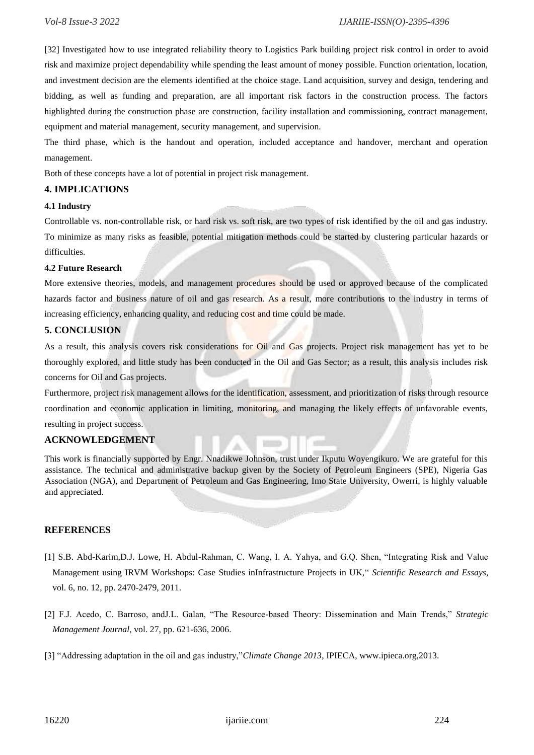[32] Investigated how to use integrated reliability theory to Logistics Park building project risk control in order to avoid risk and maximize project dependability while spending the least amount of money possible. Function orientation, location, and investment decision are the elements identified at the choice stage. Land acquisition, survey and design, tendering and bidding, as well as funding and preparation, are all important risk factors in the construction process. The factors highlighted during the construction phase are construction, facility installation and commissioning, contract management, equipment and material management, security management, and supervision.

The third phase, which is the handout and operation, included acceptance and handover, merchant and operation management.

Both of these concepts have a lot of potential in project risk management.

#### **4. IMPLICATIONS**

#### **4.1 Industry**

Controllable vs. non-controllable risk, or hard risk vs. soft risk, are two types of risk identified by the oil and gas industry. To minimize as many risks as feasible, potential mitigation methods could be started by clustering particular hazards or difficulties.

#### **4.2 Future Research**

More extensive theories, models, and management procedures should be used or approved because of the complicated hazards factor and business nature of oil and gas research. As a result, more contributions to the industry in terms of increasing efficiency, enhancing quality, and reducing cost and time could be made.

#### **5. CONCLUSION**

As a result, this analysis covers risk considerations for Oil and Gas projects. Project risk management has yet to be thoroughly explored, and little study has been conducted in the Oil and Gas Sector; as a result, this analysis includes risk concerns for Oil and Gas projects.

Furthermore, project risk management allows for the identification, assessment, and prioritization of risks through resource coordination and economic application in limiting, monitoring, and managing the likely effects of unfavorable events, resulting in project success.

#### **ACKNOWLEDGEMENT**

This work is financially supported by Engr. Nnadikwe Johnson, trust under Ikputu Woyengikuro. We are grateful for this assistance. The technical and administrative backup given by the Society of Petroleum Engineers (SPE), Nigeria Gas Association (NGA), and Department of Petroleum and Gas Engineering, Imo State University, Owerri, is highly valuable and appreciated.

#### **REFERENCES**

- [1] S.B. Abd-Karim,D.J. Lowe, H. Abdul-Rahman, C. Wang, I. A. Yahya, and G.Q. Shen, "Integrating Risk and Value Management using IRVM Workshops: Case Studies inInfrastructure Projects in UK," *Scientific Research and Essays*, vol. 6, no. 12, pp. 2470-2479, 2011.
- [2] F.J. Acedo, C. Barroso, andJ.L. Galan, "The Resource-based Theory: Dissemination and Main Trends," *Strategic Management Journal*, vol. 27, pp. 621-636, 2006.
- [3] "Addressing adaptation in the oil and gas industry,"*Climate Change 2013*, IPIECA, www.ipieca.org,2013.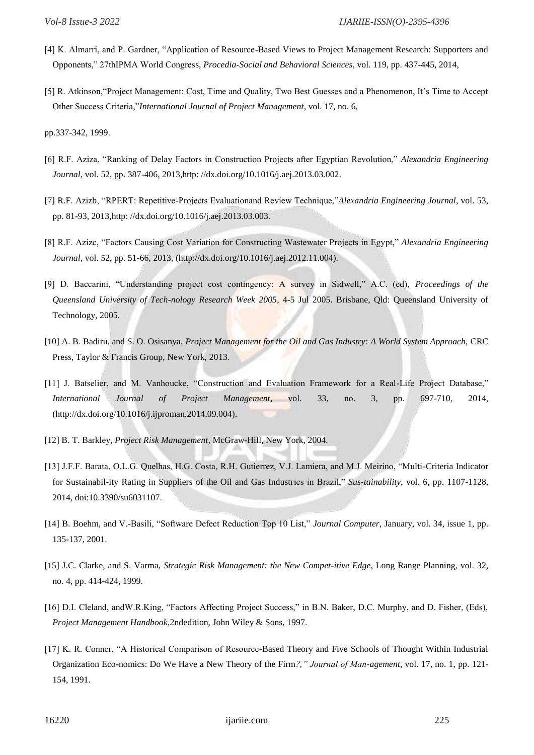- [4] K. Almarri, and P. Gardner, "Application of Resource-Based Views to Project Management Research: Supporters and Opponents," 27thIPMA World Congress, *Procedia-Social and Behavioral Sciences*, vol. 119, pp. 437-445, 2014,
- [5] R. Atkinson,"Project Management: Cost, Time and Quality, Two Best Guesses and a Phenomenon, It's Time to Accept Other Success Criteria,"*International Journal of Project Management*, vol. 17, no. 6,

pp.337-342, 1999.

- [6] R.F. Aziza, "Ranking of Delay Factors in Construction Projects after Egyptian Revolution," *Alexandria Engineering Journal*, vol. 52, pp. 387-406, 2013,http: //dx.doi.org/10.1016/j.aej.2013.03.002.
- [7] R.F. Azizb, "RPERT: Repetitive-Projects Evaluationand Review Technique,"*Alexandria Engineering Journal*, vol. 53, pp. 81-93, 2013,http: //dx.doi.org/10.1016/j.aej.2013.03.003.
- [8] R.F. Azizc, "Factors Causing Cost Variation for Constructing Wastewater Projects in Egypt," *Alexandria Engineering Journal*, vol. 52, pp. 51-66, 2013, (http://dx.doi.org/10.1016/j.aej.2012.11.004).
- [9] D. Baccarini, "Understanding project cost contingency: A survey in Sidwell," A.C. (ed), *Proceedings of the Queensland University of Tech-nology Research Week 2005*, 4-5 Jul 2005. Brisbane, Qld: Queensland University of Technology, 2005.
- [10] A. B. Badiru, and S. O. Osisanya, *Project Management for the Oil and Gas Industry: A World System Approach*, CRC Press, Taylor & Francis Group, New York, 2013.
- [11] J. Batselier, and M. Vanhoucke, "Construction and Evaluation Framework for a Real-Life Project Database," *International Journal of Project Management*, vol. 33, no. 3, pp. 697-710, 2014, (http://dx.doi.org/10.1016/j.ijproman.2014.09.004).
- [12] B. T. Barkley, *Project Risk Management*, McGraw-Hill, New York, 2004.
- [13] J.F.F. Barata, O.L.G. Quelhas, H.G. Costa, R.H. Gutierrez, V.J. Lamiera, and M.J. Meirino, "Multi-Criteria Indicator for Sustainabil-ity Rating in Suppliers of the Oil and Gas Industries in Brazil," *Sus-tainability*, vol. 6, pp. 1107-1128, 2014, doi:10.3390/su6031107.
- [14] B. Boehm, and V.-Basili, "Software Defect Reduction Top 10 List," *Journal Computer*, January, vol. 34, issue 1, pp. 135-137, 2001.
- [15] J.C. Clarke, and S. Varma, *Strategic Risk Management: the New Compet-itive Edge,* Long Range Planning, vol. 32, no. 4, pp. 414-424, 1999.
- [16] D.I. Cleland, and W.R.King, "Factors Affecting Project Success," in B.N. Baker, D.C. Murphy, and D. Fisher, (Eds), *Project Management Handbook,*2ndedition, John Wiley & Sons, 1997.
- [17] K. R. Conner, "A Historical Comparison of Resource-Based Theory and Five Schools of Thought Within Industrial Organization Eco-nomics: Do We Have a New Theory of the Firm*?," Journal of Man-agement*, vol. 17, no. 1, pp. 121- 154, 1991.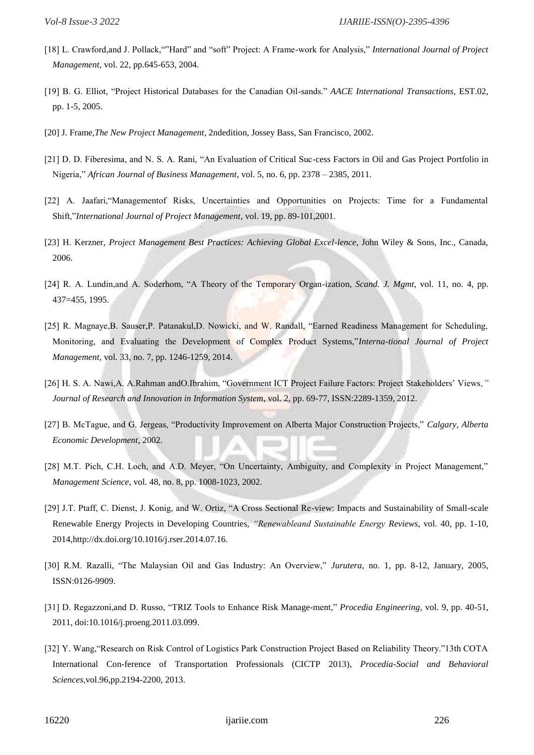- [18] L. Crawford,and J. Pollack,""Hard" and "soft" Project: A Frame-work for Analysis," *International Journal of Project Management*, vol. 22, pp.645-653, 2004.
- [19] B. G. Elliot, "Project Historical Databases for the Canadian Oil-sands." *AACE International Transactions*, EST.02, pp. 1-5, 2005.
- [20] J. Frame,*The New Project Management*, 2ndedition, Jossey Bass, San Francisco, 2002.
- [21] D. D. Fiberesima, and N. S. A. Rani, "An Evaluation of Critical Suc-cess Factors in Oil and Gas Project Portfolio in Nigeria," *African Journal of Business Management*, vol. 5, no. 6, pp. 2378 – 2385, 2011.
- [22] A. Jaafari,"Managementof Risks, Uncertainties and Opportunities on Projects: Time for a Fundamental Shift,"*International Journal of Project Management*, vol. 19, pp. 89-101,2001.
- [23] H. Kerzner, *Project Management Best Practices: Achieving Global Excel-lence*, John Wiley & Sons, Inc., Canada, 2006.
- [24] R. A. Lundin,and A. Soderhom, "A Theory of the Temporary Organ-ization, *Scand. J. Mgmt*, vol. 11, no. 4, pp. 437=455, 1995.
- [25] R. Magnaye, B. Sauser, P. Patanakul, D. Nowicki, and W. Randall, "Earned Readiness Management for Scheduling, Monitoring, and Evaluating the Development of Complex Product Systems,"*Interna-tional Journal of Project Management*, vol. 33, no. 7, pp. 1246-1259, 2014.
- [26] H. S. A. Nawi,A. A.Rahman andO.Ibrahim, "Government ICT Project Failure Factors: Project Stakeholders' Views*," Journal of Research and Innovation in Information System*, vol. 2, pp. 69-77, ISSN:2289-1359, 2012.
- [27] B. McTague, and G. Jergeas, "Productivity Improvement on Alberta Major Construction Projects," *Calgary, Alberta Economic Development*, 2002.
- [28] M.T. Pich, C.H. Loch, and A.D. Meyer, "On Uncertainty, Ambiguity, and Complexity in Project Management," *Management Science*, vol. 48, no. 8, pp. 1008-1023, 2002.
- [29] J.T. Ptaff, C. Dienst, J. Konig, and W. Ortiz, "A Cross Sectional Re-view: Impacts and Sustainability of Small-scale Renewable Energy Projects in Developing Countries, *"Renewableand Sustainable Energy Reviews*, vol. 40, pp. 1-10, 2014,http://dx.doi.org/10.1016/j.rser.2014.07.16.
- [30] R.M. Razalli, "The Malaysian Oil and Gas Industry: An Overview," *Jurutera*, no. 1, pp. 8-12, January, 2005, ISSN:0126-9909.
- [31] D. Regazzoni,and D. Russo, "TRIZ Tools to Enhance Risk Manage-ment," *Procedia Engineering*, vol. 9, pp. 40-51, 2011, doi:10.1016/j.proeng.2011.03.099.
- [32] Y. Wang,"Research on Risk Control of Logistics Park Construction Project Based on Reliability Theory."13th COTA International Con-ference of Transportation Professionals (CICTP 2013), *Procedia-Social and Behavioral Sciences*,vol.96,pp.2194-2200, 2013.